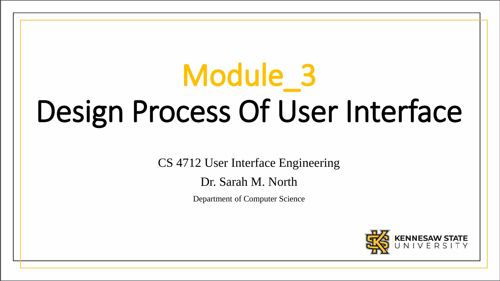# Module\_3 Design Process Of User Interface

CS 4712 User Interface Engineering

Dr. Sarah M. North

Department of Computer Science

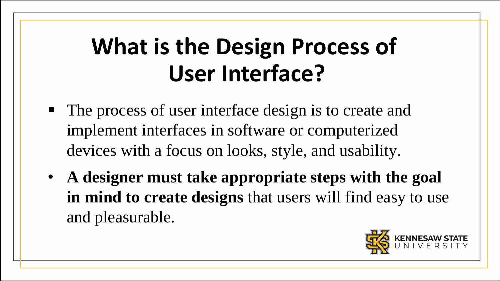## **What is the Design Process of User Interface?**

- The process of user interface design is to create and implement interfaces in software or computerized devices with a focus on looks, style, and usability.
- **A designer must take appropriate steps with the goal in mind to create designs** that users will find easy to use and pleasurable.

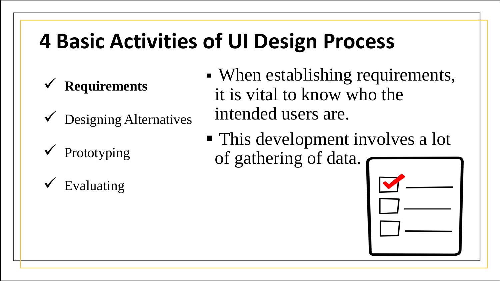- **Requirements**
- Designing Alternatives
- Prototyping
- Evaluating
- When establishing requirements, it is vital to know who the intended users are.
- This development involves a lot of gathering of data.

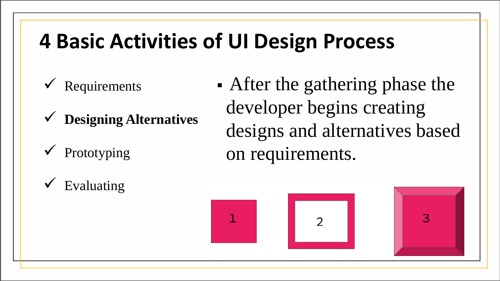- Requirements
- **Designing Alternatives**
- Prototyping

• After the gathering phase the developer begins creating designs and alternatives based on requirements.





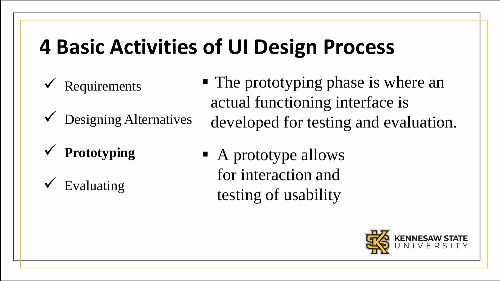- Requirements
- $\checkmark$  Designing Alternatives
- **Prototyping**
- Evaluating
- The prototyping phase is where an actual functioning interface is developed for testing and evaluation.
- A prototype allows for interaction and testing of usability

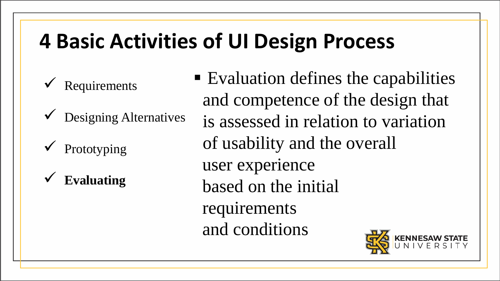- Requirements
- $\triangledown$  Designing Alternatives
- Prototyping
- **Evaluating**

■ Evaluation defines the capabilities and competence of the design that is assessed in relation to variation of usability and the overall user experience based on the initial requirements and conditions

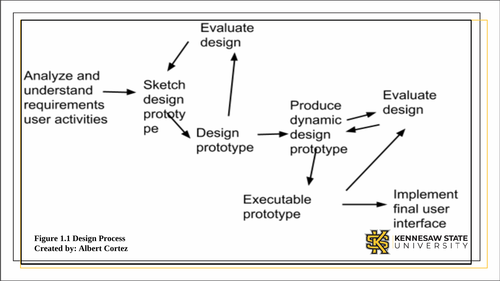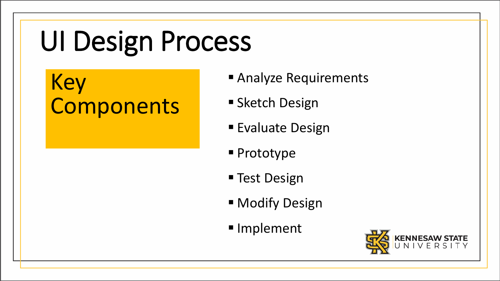## Key **Components**

- **Analyze Requirements**
- **Sketch Design**
- Evaluate Design
- **Prototype**
- Test Design
- **Nodify Design**
- **Implement**

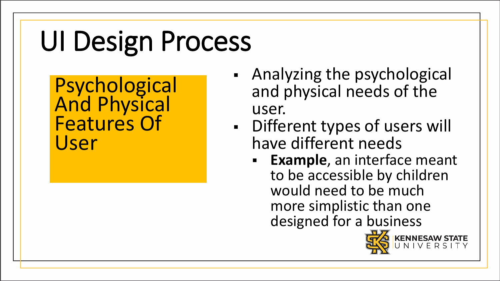Psychological **And Physical** Features Of User

- Analyzing the psychological and physical needs of the user.
- Different types of users will have different needs
	- **Example**, an interface meant to be accessible by children would need to be much more simplistic than one designed for a business<br>EC KENNESAW STATE

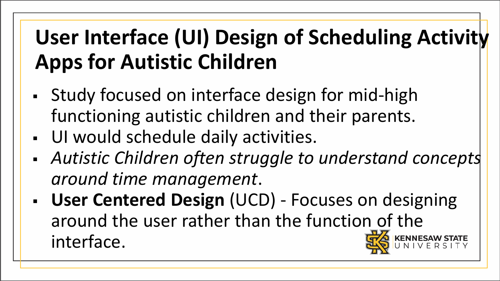- Study focused on interface design for mid-high functioning autistic children and their parents.
- UI would schedule daily activities.
- *Autistic Children often struggle to understand concepts around time management*.
- **User Centered Design** (UCD) Focuses on designing around the user rather than the function of the interface.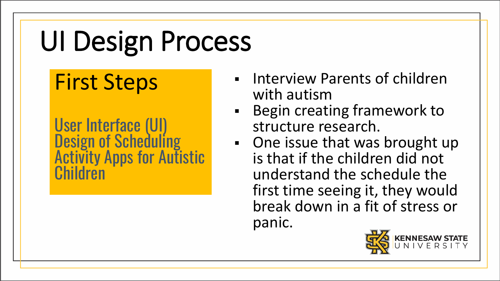## First Steps

- **EXECUTE:** Interview Parents of children with autism
- **Begin creating framework to** structure research.
- One issue that was brought up is that if the children did not understand the schedule the first time seeing it, they would break down in a fit of stress or panic.

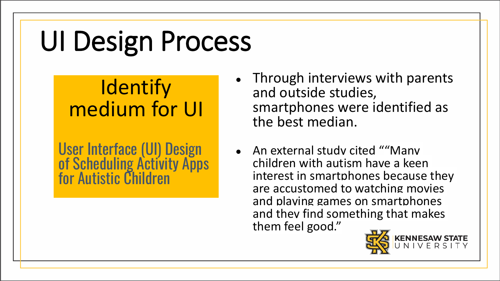## **Identify** medium for UI

- Through interviews with parents and outside studies, smartphones were identified as the best median.
- An external study cited ""Many children with autism have a keen interest in smartphones because they are accustomed to watching movies and playing games on smartphones and they find something that makes them feel good."

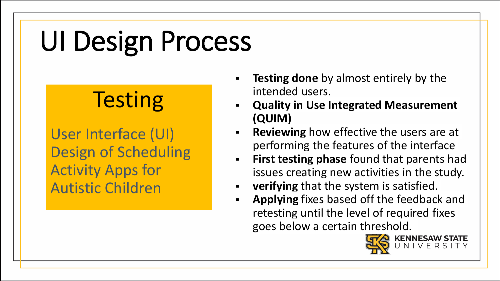## **Testing**

- **Testing done** by almost entirely by the intended users.
- **Quality in Use Integrated Measurement (QUIM)**
- **Reviewing** how effective the users are at performing the features of the interface
- **First testing phase** found that parents had issues creating new activities in the study.
- **verifying** that the system is satisfied.
- **Applying** fixes based off the feedback and retesting until the level of required fixes goes below a certain threshold.

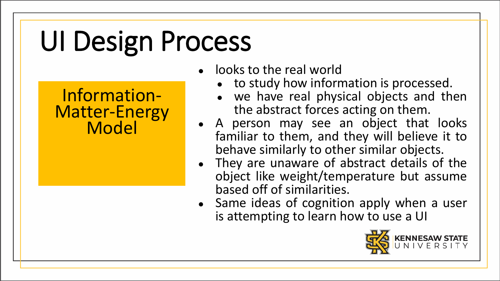Information-Matter-Energy **Model** 

- **looks to the real world** 
	- to study how information is processed.
	- we have real physical objects and then the abstract forces acting on them.
- A person may see an object that looks familiar to them, and they will believe it to behave similarly to other similar objects.
- They are unaware of abstract details of the object like weight/temperature but assume based off of similarities.
- Same ideas of cognition apply when a user is attempting to learn how to use a UI

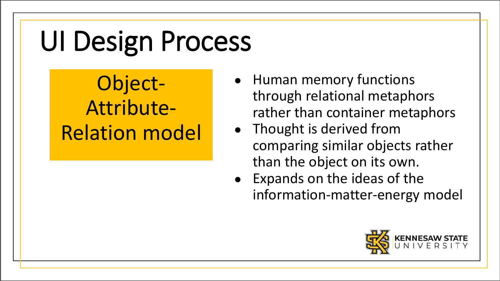Object-Attribute-Relation model

- Human memory functions through relational metaphors rather than container metaphors
- Thought is derived from comparing similar objects rather than the object on its own.
- Expands on the ideas of the information-matter-energy model

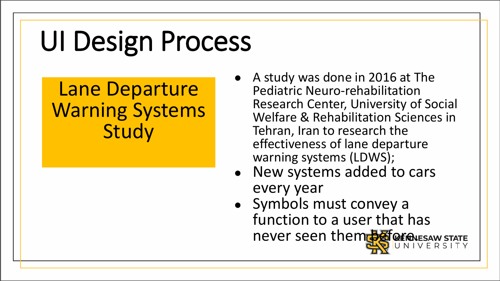### Lane Departure Warning Systems **Study**

- A study was done in 2016 at The Pediatric Neuro-rehabilitation Research Center, University of Social Welfare & Rehabilitation Sciences in Tehran, Iran to research the effectiveness of lane departure warning systems (LDWS);
- New systems added to cars every year
- Symbols must convey a function to a user that has never seen them before wesaw STATE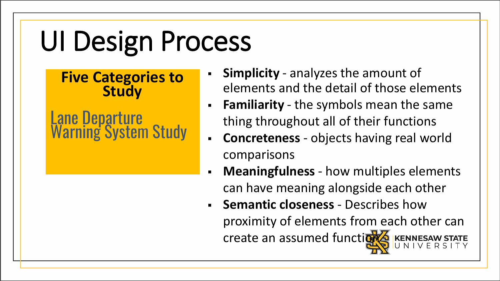**Five Categories to Study**

Lane Departure Warning System Study

- **Simplicity**  analyzes the amount of elements and the detail of those elements
- **Familiarity**  the symbols mean the same thing throughout all of their functions
- **Concreteness**  objects having real world comparisons
- **Meaningfulness** how multiples elements can have meaning alongside each other
- **Semantic closeness**  Describes how proximity of elements from each other can create an assumed function KENNESAW STATE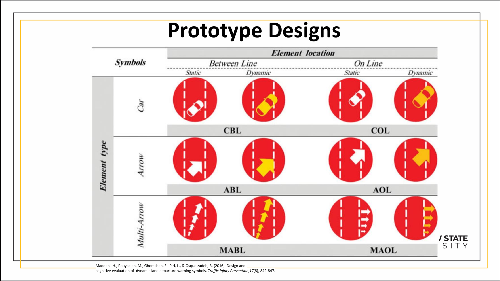### **Prototype Designs**



Maddahi, H., Pouyakian, M., Ghomsheh, F., Piri, L., & Osqueizadeh, R. (2016). Design and cognitive evaluation of dynamic lane departure warning symbols. *Traffic Injury Prevention,17*(8), 842-847.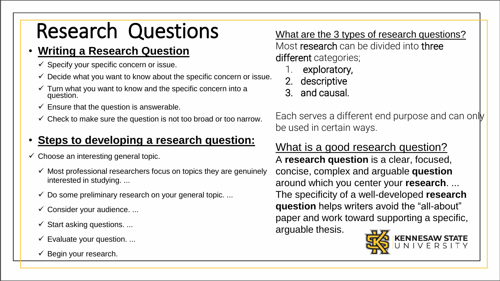## Research Questions

#### • **Writing a Research Question**

- $\checkmark$  Specify your specific concern or issue.
- $\checkmark$  Decide what you want to know about the specific concern or issue.
- $\checkmark$  Turn what you want to know and the specific concern into a question.
- $\checkmark$  Ensure that the question is answerable.
- $\checkmark$  Check to make sure the question is not too broad or too narrow.

#### • **Steps to developing a research question:**

- $\checkmark$  Choose an interesting general topic.
	- $\checkmark$  Most professional researchers focus on topics they are genuinely interested in studying. ...
	- $\checkmark$  Do some preliminary research on your general topic. ...
	- $\checkmark$  Consider your audience. ...
	- $\checkmark$  Start asking questions. ...
	- $\checkmark$  Evaluate your question. ...
	- $\checkmark$  Begin your research.

What are the 3 types of research questions? Most research can be divided into three different categories;

- exploratory,
- 2. descriptive
- 3. and causal.

Each serves a different end purpose and can only be used in certain ways.

#### What is a good research question?

A **research question** is a clear, focused, concise, complex and arguable **question** around which you center your **research**. ... The specificity of a well-developed **research question** helps writers avoid the "all-about" paper and work toward supporting a specific, arguable thesis.

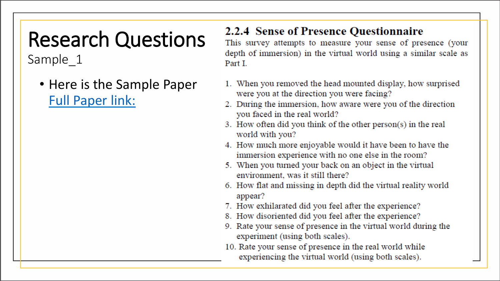## Research Questions

Sample 1

• Here is the Sample Paper [Full Paper link:](http://ksuweb.kennesaw.edu/~snorth/HCI/Lynn_A_Comparative_Study_of_Presence.pdf)

#### 2.2.4 Sense of Presence Questionnaire

This survey attempts to measure your sense of presence (your depth of immersion) in the virtual world using a similar scale as Part L

- 1. When you removed the head mounted display, how surprised were you at the direction you were facing?
- 2. During the immersion, how aware were you of the direction you faced in the real world?
- 3. How often did you think of the other person(s) in the real world with you?
- 4. How much more enjoyable would it have been to have the immersion experience with no one else in the room?
- 5. When you turned your back on an object in the virtual environment, was it still there?
- 6. How flat and missing in depth did the virtual reality world appear?
- 7. How exhilarated did you feel after the experience?
- 8. How disoriented did you feel after the experience?
- 9. Rate your sense of presence in the virtual world during the experiment (using both scales).
- 10. Rate your sense of presence in the real world while experiencing the virtual world (using both scales).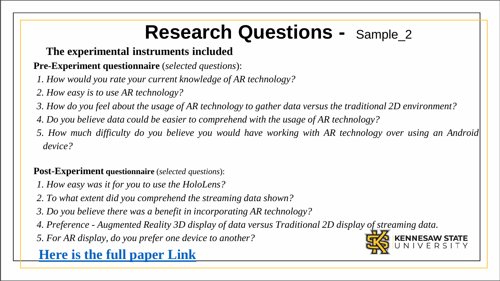### **Research Questions -** Sample\_2

#### **The experimental instruments included**

#### **Pre-Experiment questionnaire** (*selected questions*):

- *1. How would you rate your current knowledge of AR technology?*
- *2. How easy is to use AR technology?*
- *3. How do you feel about the usage of AR technology to gather data versus the traditional 2D environment?*
- *4. Do you believe data could be easier to comprehend with the usage of AR technology?*
- 5. How much difficulty do you believe you would have working with AR technology over using an Android *device?*

#### **Post-Experiment questionnaire** (*selected questions*):

- *1. How easy was it for you to use the HoloLens?*
- *2. To what extent did you comprehend the streaming data shown?*
- *3. Do you believe there was a benefit in incorporating AR technology?*
- *4. Preference - Augmented Reality 3D display of data versus Traditional 2D display of streaming data.*
- *5. For AR display, do you prefer one device to another?*

#### **Here is the full [paper](http://ksuweb.kennesaw.edu/~snorth/HCI/PedagogicalInnovation-VisOfStreamedBigDataAR2019.pdf) Link**

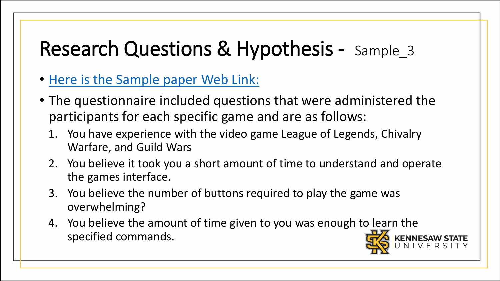### Research Questions & Hypothesis - Sample\_3

- [Here is the Sample paper Web Link:](http://ksuweb.kennesaw.edu/~snorth/HCI/ComparativeStudyofGamingInterfaces-2017.pdf)
- The questionnaire included questions that were administered the participants for each specific game and are as follows:
	- 1. You have experience with the video game League of Legends, Chivalry Warfare, and Guild Wars
	- 2. You believe it took you a short amount of time to understand and operate the games interface.
	- 3. You believe the number of buttons required to play the game was overwhelming?
	- 4. You believe the amount of time given to you was enough to learn the specified commands.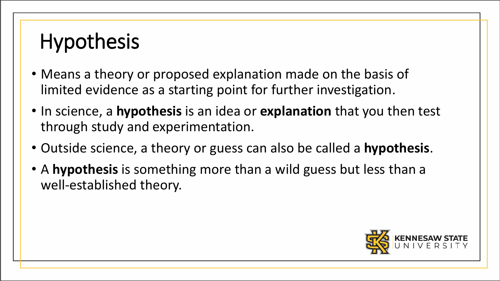## **Hypothesis**

- Means a theory or proposed explanation made on the basis of limited evidence as a starting point for further investigation.
- In science, a **hypothesis** is an idea or **explanation** that you then test through study and experimentation.
- Outside science, a theory or guess can also be called a **hypothesis**.
- A **hypothesis** is something more than a wild guess but less than a well-established theory.

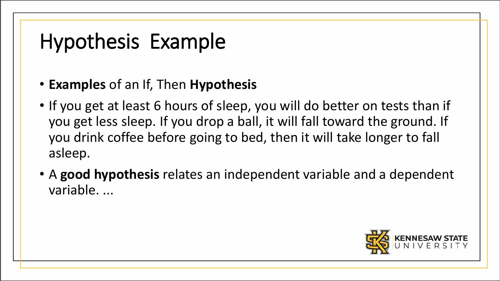## Hypothesis Example

#### • **Examples** of an If, Then **Hypothesis**

- If you get at least 6 hours of sleep, you will do better on tests than if you get less sleep. If you drop a ball, it will fall toward the ground. If you drink coffee before going to bed, then it will take longer to fall asleep.
- A **good hypothesis** relates an independent variable and a dependent variable. ...

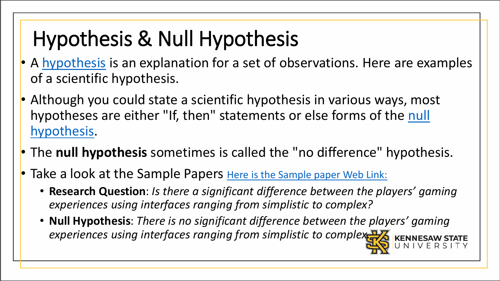## Hypothesis & Null Hypothesis

- A [hypothesis](https://www.thoughtco.com/definition-of-hypothesis-605234) is an explanation for a set of observations. Here are examples of a scientific hypothesis.
- Although you could state a scientific hypothesis in various ways, most [hypotheses are either "If, then" statements or else forms of the](https://www.thoughtco.com/definition-of-null-hypothesis-and-examples-605436) null hypothesis.
- The **null hypothesis** sometimes is called the "no difference" hypothesis.
- Take a look at the Sample Papers [Here is the Sample paper Web Link:](http://ksuweb.kennesaw.edu/~snorth/HCI/ComparativeStudyofGamingInterfaces-2017.pdf)
	- **Research Question**: *Is there a significant difference between the players' gaming experiences using interfaces ranging from simplistic to complex?*
	- **Null Hypothesis**: *There is no significant difference between the players' gaming*  experiences using interfaces ranging from simplistic to complex<sup>17</sup>/2 KENNESAW STATE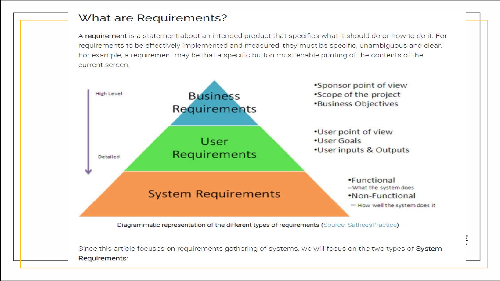#### What are Requirements?

A requirement is a statement about an intended product that specifies what it should do or how to do it. For requirements to be effectively implemented and measured, they must be specific, unambiguous and clear. For example, a requirement may be that a specific button must enable printing of the contents of the current screen.



focuses on requirements gathering of systems. org.proxy.kennesaw.edu/document/8336105Requirements: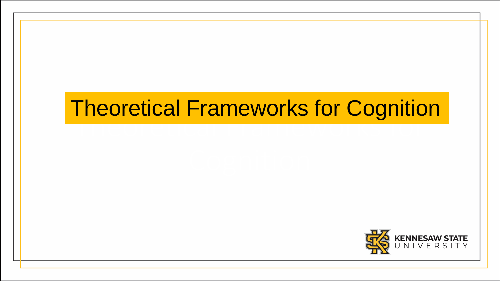### Theoretical Frameworks for Oughtties Theoretical Frameworks for Cognition

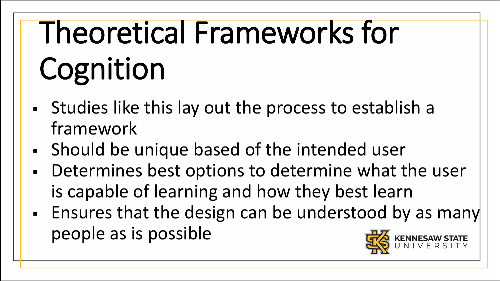# Theoretical Frameworks for Cognition

- Studies like this lay out the process to establish a framework
- Should be unique based of the intended user
- Determines best options to determine what the user is capable of learning and how they best learn
- Ensures that the design can be understood by as many people as is possible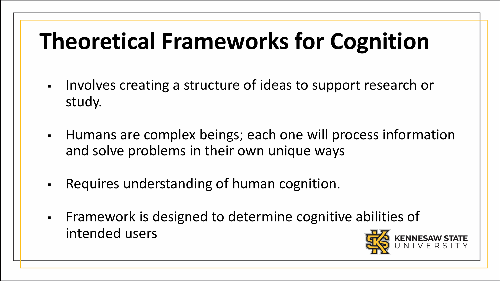## **Theoretical Frameworks for Cognition**

- Involves creating a structure of ideas to support research or study.
- Humans are complex beings; each one will process information and solve problems in their own unique ways
- Requires understanding of human cognition.
- Framework is designed to determine cognitive abilities of intended users

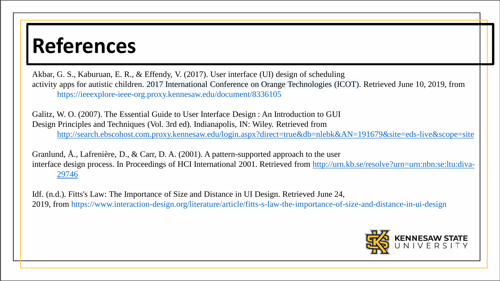### **References**

Akbar, G. S., Kaburuan, E. R., & Effendy, V. (2017). User interface (UI) design of scheduling activity apps for autistic children. 2017 International Conference on Orange Technologies (ICOT). Retrieved June 10, 2019, from <https://ieeexplore-ieee-org.proxy.kennesaw.edu/document/8336105>

Galitz, W. O. (2007). The Essential Guide to User Interface Design : An Introduction to GUI Design Principles and Techniques (Vol. 3rd ed). Indianapolis, IN: Wiley. Retrieved from <http://search.ebscohost.com.proxy.kennesaw.edu/login.aspx?direct=true&db=nlebk&AN=191679&site=eds-live&scope=site>

Granlund, Å., Lafrenière, D., & Carr, D. A. (2001). A pattern-supported approach to the user interfa[ce design process. In Proceedings of HCI International 2001. Retrieved from http://urn.kb.se/resolve?urn=urn:nbn:se:ltu:diva-](http://urn.kb.se/resolve?urn=urn:nbn:se:ltu:diva-29746)29746

Idf. (n.d.). Fitts's Law: The Importance of Size and Distance in UI Design. Retrieved June 24, 2019, from <https://www.interaction-design.org/literature/article/fitts-s-law-the-importance-of-size-and-distance-in-ui-design>

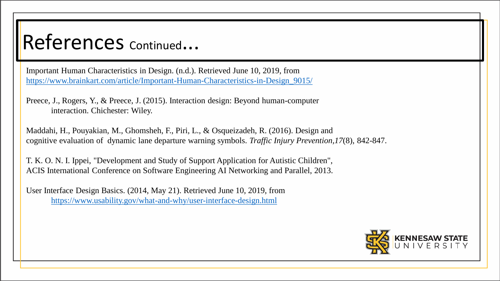### References continued...

Important Human Characteristics in Design. (n.d.). Retrieved June 10, 2019, from [https://www.brainkart.com/article/Important-Human-Characteristics-in-Design\\_9015/](https://www.brainkart.com/article/Important-Human-Characteristics-in-Design_9015/)

Preece, J., Rogers, Y., & Preece, J. (2015). Interaction design: Beyond human-computer interaction. Chichester: Wiley.

Maddahi, H., Pouyakian, M., Ghomsheh, F., Piri, L., & Osqueizadeh, R. (2016). Design and cognitive evaluation of dynamic lane departure warning symbols. *Traffic Injury Prevention,17*(8), 842-847.

T. K. O. N. I. Ippei, "Development and Study of Support Application for Autistic Children", ACIS International Conference on Software Engineering AI Networking and Parallel, 2013.

User Interface Design Basics. (2014, May 21). Retrieved June 10, 2019, from <https://www.usability.gov/what-and-why/user-interface-design.html>